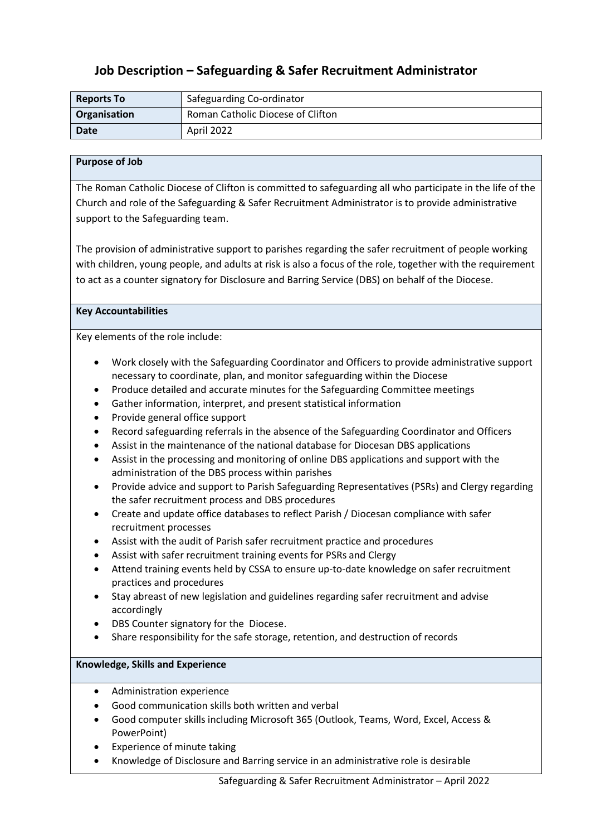## **Job Description – Safeguarding & Safer Recruitment Administrator**

| <b>Reports To</b> | Safeguarding Co-ordinator         |  |
|-------------------|-----------------------------------|--|
| Organisation      | Roman Catholic Diocese of Clifton |  |
| <b>Date</b>       | April 2022                        |  |

## **Purpose of Job**

The Roman Catholic Diocese of Clifton is committed to safeguarding all who participate in the life of the Church and role of the Safeguarding & Safer Recruitment Administrator is to provide administrative support to the Safeguarding team.

The provision of administrative support to parishes regarding the safer recruitment of people working with children, young people, and adults at risk is also a focus of the role, together with the requirement to act as a counter signatory for Disclosure and Barring Service (DBS) on behalf of the Diocese.

## **Key Accountabilities**

Key elements of the role include:

- Work closely with the Safeguarding Coordinator and Officers to provide administrative support necessary to coordinate, plan, and monitor safeguarding within the Diocese
- Produce detailed and accurate minutes for the Safeguarding Committee meetings
- Gather information, interpret, and present statistical information
- Provide general office support
- Record safeguarding referrals in the absence of the Safeguarding Coordinator and Officers
- Assist in the maintenance of the national database for Diocesan DBS applications
- Assist in the processing and monitoring of online DBS applications and support with the administration of the DBS process within parishes
- Provide advice and support to Parish Safeguarding Representatives (PSRs) and Clergy regarding the safer recruitment process and DBS procedures
- Create and update office databases to reflect Parish / Diocesan compliance with safer recruitment processes
- Assist with the audit of Parish safer recruitment practice and procedures
- Assist with safer recruitment training events for PSRs and Clergy
- Attend training events held by CSSA to ensure up-to-date knowledge on safer recruitment practices and procedures
- Stay abreast of new legislation and guidelines regarding safer recruitment and advise accordingly
- DBS Counter signatory for the Diocese.
- Share responsibility for the safe storage, retention, and destruction of records

## **Knowledge, Skills and Experience**

- Administration experience
- Good communication skills both written and verbal
- Good computer skills including Microsoft 365 (Outlook, Teams, Word, Excel, Access & PowerPoint)
- Experience of minute taking
- Knowledge of Disclosure and Barring service in an administrative role is desirable